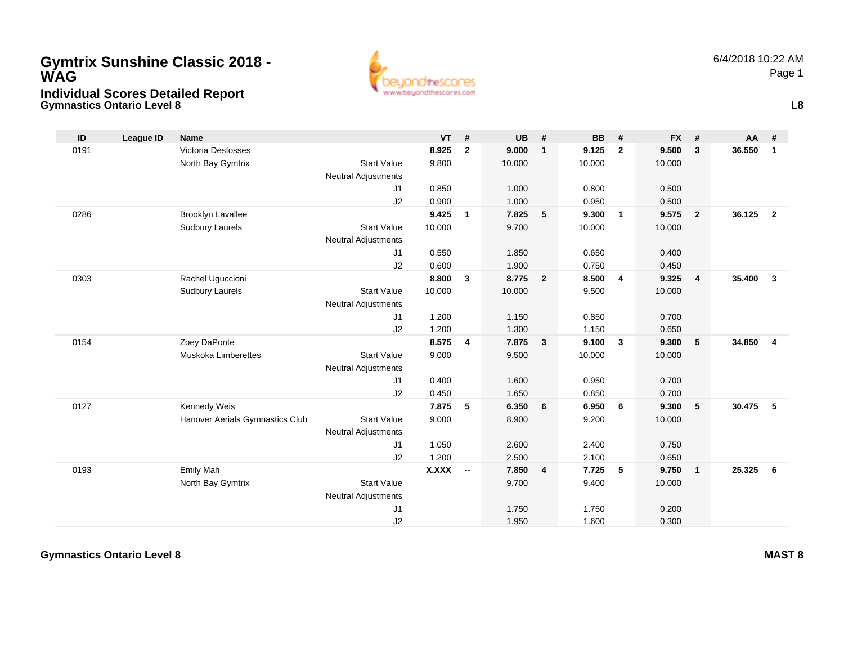## **Gymnastics Ontario Level 8 Individual Scores Detailed Report Gymtrix Sunshine Classic 2018 - WAG**



**L8**

| ID   | <b>League ID</b> | Name                            |                            | <b>VT</b>    | #                        | <b>UB</b> | #              | <b>BB</b> | #              | <b>FX</b> | #                       | AA     | #              |
|------|------------------|---------------------------------|----------------------------|--------------|--------------------------|-----------|----------------|-----------|----------------|-----------|-------------------------|--------|----------------|
| 0191 |                  | Victoria Desfosses              |                            | 8.925        | $\mathbf{2}$             | 9.000     | $\mathbf{1}$   | 9.125     | $\overline{2}$ | 9.500     | $\overline{\mathbf{3}}$ | 36.550 | $\mathbf{1}$   |
|      |                  | North Bay Gymtrix               | <b>Start Value</b>         | 9.800        |                          | 10.000    |                | 10.000    |                | 10.000    |                         |        |                |
|      |                  |                                 | <b>Neutral Adjustments</b> |              |                          |           |                |           |                |           |                         |        |                |
|      |                  |                                 | J1                         | 0.850        |                          | 1.000     |                | 0.800     |                | 0.500     |                         |        |                |
|      |                  |                                 | J2                         | 0.900        |                          | 1.000     |                | 0.950     |                | 0.500     |                         |        |                |
| 0286 |                  | Brooklyn Lavallee               |                            | 9.425        | $\mathbf{1}$             | 7.825     | 5              | 9.300     | $\overline{1}$ | 9.575     | $\overline{2}$          | 36.125 | $\overline{2}$ |
|      |                  | <b>Sudbury Laurels</b>          | <b>Start Value</b>         | 10.000       |                          | 9.700     |                | 10.000    |                | 10.000    |                         |        |                |
|      |                  |                                 | <b>Neutral Adjustments</b> |              |                          |           |                |           |                |           |                         |        |                |
|      |                  |                                 | J1                         | 0.550        |                          | 1.850     |                | 0.650     |                | 0.400     |                         |        |                |
|      |                  |                                 | J2                         | 0.600        |                          | 1.900     |                | 0.750     |                | 0.450     |                         |        |                |
| 0303 |                  | Rachel Uguccioni                |                            | 8.800        | 3                        | 8.775     | $\overline{2}$ | 8.500     | $\overline{4}$ | 9.325     | $\overline{4}$          | 35.400 | $\mathbf{3}$   |
|      |                  | <b>Sudbury Laurels</b>          | <b>Start Value</b>         | 10.000       |                          | 10.000    |                | 9.500     |                | 10.000    |                         |        |                |
|      |                  |                                 | <b>Neutral Adjustments</b> |              |                          |           |                |           |                |           |                         |        |                |
|      |                  |                                 | J1                         | 1.200        |                          | 1.150     |                | 0.850     |                | 0.700     |                         |        |                |
|      |                  |                                 | J2                         | 1.200        |                          | 1.300     |                | 1.150     |                | 0.650     |                         |        |                |
| 0154 |                  | Zoey DaPonte                    |                            | 8.575        | 4                        | 7.875     | $\mathbf{3}$   | 9.100     | $\mathbf{3}$   | 9.300     | 5                       | 34.850 | $\overline{4}$ |
|      |                  | <b>Muskoka Limberettes</b>      | <b>Start Value</b>         | 9.000        |                          | 9.500     |                | 10.000    |                | 10.000    |                         |        |                |
|      |                  |                                 | <b>Neutral Adjustments</b> |              |                          |           |                |           |                |           |                         |        |                |
|      |                  |                                 | J1                         | 0.400        |                          | 1.600     |                | 0.950     |                | 0.700     |                         |        |                |
|      |                  |                                 | J2                         | 0.450        |                          | 1.650     |                | 0.850     |                | 0.700     |                         |        |                |
| 0127 |                  | Kennedy Weis                    |                            | 7.875        | 5                        | 6.350     | 6              | 6.950     | 6              | 9.300     | 5                       | 30.475 | 5              |
|      |                  | Hanover Aerials Gymnastics Club | <b>Start Value</b>         | 9.000        |                          | 8.900     |                | 9.200     |                | 10.000    |                         |        |                |
|      |                  |                                 | <b>Neutral Adjustments</b> |              |                          |           |                |           |                |           |                         |        |                |
|      |                  |                                 | J1                         | 1.050        |                          | 2.600     |                | 2.400     |                | 0.750     |                         |        |                |
|      |                  |                                 | J2                         | 1.200        |                          | 2.500     |                | 2.100     |                | 0.650     |                         |        |                |
| 0193 |                  | Emily Mah                       |                            | <b>X.XXX</b> | $\overline{\phantom{a}}$ | 7.850     | 4              | 7.725     | 5              | 9.750     | $\overline{1}$          | 25.325 | 6              |
|      |                  | North Bay Gymtrix               | <b>Start Value</b>         |              |                          | 9.700     |                | 9.400     |                | 10.000    |                         |        |                |
|      |                  |                                 | <b>Neutral Adjustments</b> |              |                          |           |                |           |                |           |                         |        |                |
|      |                  |                                 | J1                         |              |                          | 1.750     |                | 1.750     |                | 0.200     |                         |        |                |
|      |                  |                                 | J2                         |              |                          | 1.950     |                | 1.600     |                | 0.300     |                         |        |                |